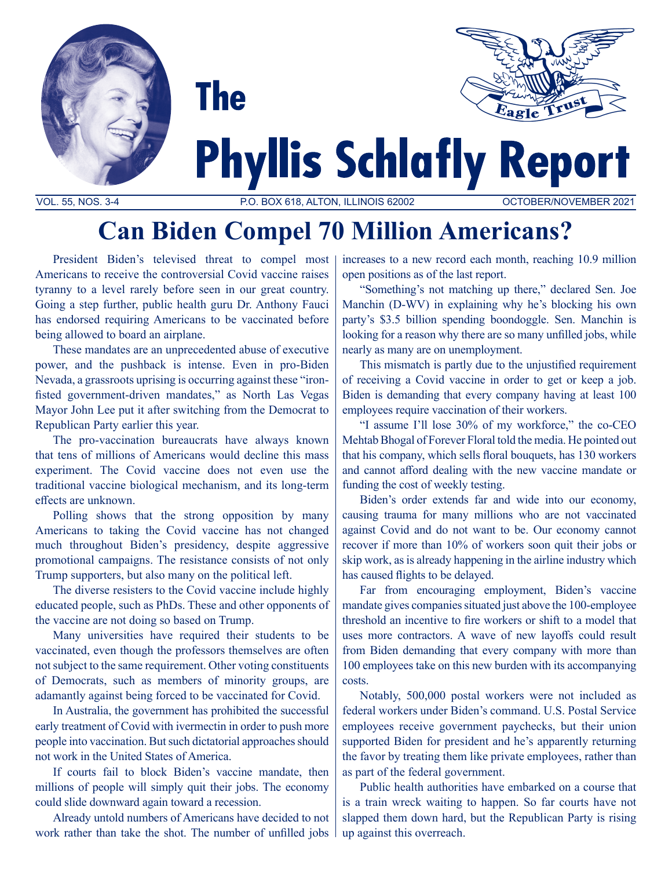



# **Phyllis Schlafly Report**

VOL. 55, NOS. 3-4 P.O. BOX 618, ALTON, ILLINOIS 62002 OCTOBER/NOVEMBER 2021

# **Can Biden Compel 70 Million Americans?**

President Biden's televised threat to compel most Americans to receive the controversial Covid vaccine raises tyranny to a level rarely before seen in our great country. Going a step further, public health guru Dr. Anthony Fauci has endorsed requiring Americans to be vaccinated before being allowed to board an airplane.

**The** 

These mandates are an unprecedented abuse of executive power, and the pushback is intense. Even in pro-Biden Nevada, a grassroots uprising is occurring against these "ironfisted government-driven mandates," as North Las Vegas Mayor John Lee put it after switching from the Democrat to Republican Party earlier this year.

The pro-vaccination bureaucrats have always known that tens of millions of Americans would decline this mass experiment. The Covid vaccine does not even use the traditional vaccine biological mechanism, and its long-term effects are unknown.

Polling shows that the strong opposition by many Americans to taking the Covid vaccine has not changed much throughout Biden's presidency, despite aggressive promotional campaigns. The resistance consists of not only Trump supporters, but also many on the political left.

The diverse resisters to the Covid vaccine include highly educated people, such as PhDs. These and other opponents of the vaccine are not doing so based on Trump.

Many universities have required their students to be vaccinated, even though the professors themselves are often not subject to the same requirement. Other voting constituents of Democrats, such as members of minority groups, are adamantly against being forced to be vaccinated for Covid.

In Australia, the government has prohibited the successful early treatment of Covid with ivermectin in order to push more people into vaccination. But such dictatorial approaches should not work in the United States of America.

If courts fail to block Biden's vaccine mandate, then millions of people will simply quit their jobs. The economy could slide downward again toward a recession.

Already untold numbers of Americans have decided to not work rather than take the shot. The number of unfilled jobs increases to a new record each month, reaching 10.9 million open positions as of the last report.

"Something's not matching up there," declared Sen. Joe Manchin (D-WV) in explaining why he's blocking his own party's \$3.5 billion spending boondoggle. Sen. Manchin is looking for a reason why there are so many unfilled jobs, while nearly as many are on unemployment.

This mismatch is partly due to the unjustified requirement of receiving a Covid vaccine in order to get or keep a job. Biden is demanding that every company having at least 100 employees require vaccination of their workers.

"I assume I'll lose 30% of my workforce," the co-CEO Mehtab Bhogal of Forever Floral told the media. He pointed out that his company, which sells floral bouquets, has 130 workers and cannot afford dealing with the new vaccine mandate or funding the cost of weekly testing.

Biden's order extends far and wide into our economy, causing trauma for many millions who are not vaccinated against Covid and do not want to be. Our economy cannot recover if more than 10% of workers soon quit their jobs or skip work, as is already happening in the airline industry which has caused flights to be delayed.

Far from encouraging employment, Biden's vaccine mandate gives companies situated just above the 100-employee threshold an incentive to fire workers or shift to a model that uses more contractors. A wave of new layoffs could result from Biden demanding that every company with more than 100 employees take on this new burden with its accompanying costs.

Notably, 500,000 postal workers were not included as federal workers under Biden's command. U.S. Postal Service employees receive government paychecks, but their union supported Biden for president and he's apparently returning the favor by treating them like private employees, rather than as part of the federal government.

Public health authorities have embarked on a course that is a train wreck waiting to happen. So far courts have not slapped them down hard, but the Republican Party is rising up against this overreach.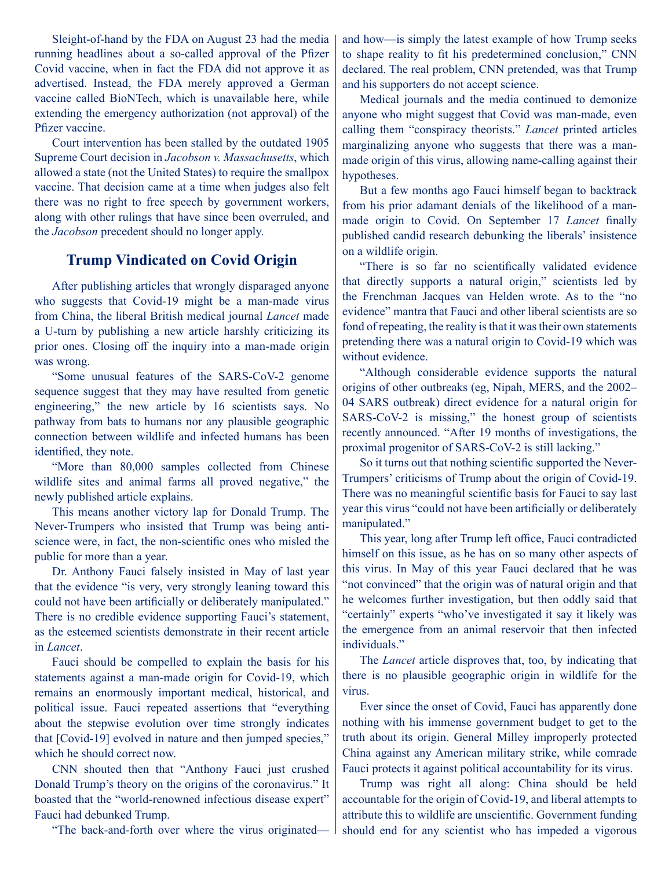Sleight-of-hand by the FDA on August 23 had the media running headlines about a so-called approval of the Pfizer Covid vaccine, when in fact the FDA did not approve it as advertised. Instead, the FDA merely approved a German vaccine called BioNTech, which is unavailable here, while extending the emergency authorization (not approval) of the Pfizer vaccine.

Court intervention has been stalled by the outdated 1905 Supreme Court decision in *Jacobson v. Massachusetts*, which allowed a state (not the United States) to require the smallpox vaccine. That decision came at a time when judges also felt there was no right to free speech by government workers, along with other rulings that have since been overruled, and the *Jacobson* precedent should no longer apply.

## **Trump Vindicated on Covid Origin**

After publishing articles that wrongly disparaged anyone who suggests that Covid-19 might be a man-made virus from China, the liberal British medical journal *Lancet* made a U-turn by publishing a new article harshly criticizing its prior ones. Closing off the inquiry into a man-made origin was wrong.

"Some unusual features of the SARS-CoV-2 genome sequence suggest that they may have resulted from genetic engineering," the new article by 16 scientists says. No pathway from bats to humans nor any plausible geographic connection between wildlife and infected humans has been identified, they note.

"More than 80,000 samples collected from Chinese wildlife sites and animal farms all proved negative," the newly published article explains.

This means another victory lap for Donald Trump. The Never-Trumpers who insisted that Trump was being antiscience were, in fact, the non-scientific ones who misled the public for more than a year.

Dr. Anthony Fauci falsely insisted in May of last year that the evidence "is very, very strongly leaning toward this could not have been artificially or deliberately manipulated." There is no credible evidence supporting Fauci's statement, as the esteemed scientists demonstrate in their recent article in *Lancet*.

Fauci should be compelled to explain the basis for his statements against a man-made origin for Covid-19, which remains an enormously important medical, historical, and political issue. Fauci repeated assertions that "everything about the stepwise evolution over time strongly indicates that [Covid-19] evolved in nature and then jumped species," which he should correct now.

CNN shouted then that "Anthony Fauci just crushed Donald Trump's theory on the origins of the coronavirus." It boasted that the "world-renowned infectious disease expert" Fauci had debunked Trump.

"The back-and-forth over where the virus originated—

and how—is simply the latest example of how Trump seeks to shape reality to fit his predetermined conclusion," CNN declared. The real problem, CNN pretended, was that Trump and his supporters do not accept science.

Medical journals and the media continued to demonize anyone who might suggest that Covid was man-made, even calling them "conspiracy theorists." *Lancet* printed articles marginalizing anyone who suggests that there was a manmade origin of this virus, allowing name-calling against their hypotheses.

But a few months ago Fauci himself began to backtrack from his prior adamant denials of the likelihood of a manmade origin to Covid. On September 17 *Lancet* finally published candid research debunking the liberals' insistence on a wildlife origin.

"There is so far no scientifically validated evidence that directly supports a natural origin," scientists led by the Frenchman Jacques van Helden wrote. As to the "no evidence" mantra that Fauci and other liberal scientists are so fond of repeating, the reality is that it was their own statements pretending there was a natural origin to Covid-19 which was without evidence.

"Although considerable evidence supports the natural origins of other outbreaks (eg, Nipah, MERS, and the 2002– 04 SARS outbreak) direct evidence for a natural origin for SARS-CoV-2 is missing," the honest group of scientists recently announced. "After 19 months of investigations, the proximal progenitor of SARS-CoV-2 is still lacking."

So it turns out that nothing scientific supported the Never-Trumpers' criticisms of Trump about the origin of Covid-19. There was no meaningful scientific basis for Fauci to say last year this virus "could not have been artificially or deliberately manipulated."

This year, long after Trump left office, Fauci contradicted himself on this issue, as he has on so many other aspects of this virus. In May of this year Fauci declared that he was "not convinced" that the origin was of natural origin and that he welcomes further investigation, but then oddly said that "certainly" experts "who've investigated it say it likely was the emergence from an animal reservoir that then infected individuals."

The *Lancet* article disproves that, too, by indicating that there is no plausible geographic origin in wildlife for the virus.

Ever since the onset of Covid, Fauci has apparently done nothing with his immense government budget to get to the truth about its origin. General Milley improperly protected China against any American military strike, while comrade Fauci protects it against political accountability for its virus.

Trump was right all along: China should be held accountable for the origin of Covid-19, and liberal attempts to attribute this to wildlife are unscientific. Government funding should end for any scientist who has impeded a vigorous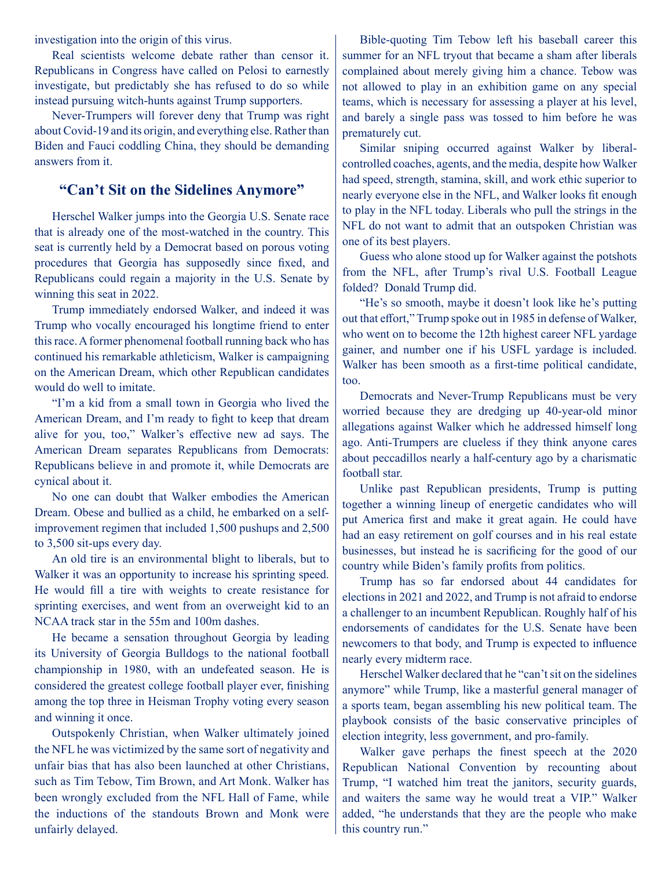investigation into the origin of this virus.

Real scientists welcome debate rather than censor it. Republicans in Congress have called on Pelosi to earnestly investigate, but predictably she has refused to do so while instead pursuing witch-hunts against Trump supporters.

Never-Trumpers will forever deny that Trump was right about Covid-19 and its origin, and everything else. Rather than Biden and Fauci coddling China, they should be demanding answers from it.

#### **"Can't Sit on the Sidelines Anymore"**

Herschel Walker jumps into the Georgia U.S. Senate race that is already one of the most-watched in the country. This seat is currently held by a Democrat based on porous voting procedures that Georgia has supposedly since fixed, and Republicans could regain a majority in the U.S. Senate by winning this seat in 2022.

Trump immediately endorsed Walker, and indeed it was Trump who vocally encouraged his longtime friend to enter this race. A former phenomenal football running back who has continued his remarkable athleticism, Walker is campaigning on the American Dream, which other Republican candidates would do well to imitate.

"I'm a kid from a small town in Georgia who lived the American Dream, and I'm ready to fight to keep that dream alive for you, too," Walker's effective new ad says. The American Dream separates Republicans from Democrats: Republicans believe in and promote it, while Democrats are cynical about it.

No one can doubt that Walker embodies the American Dream. Obese and bullied as a child, he embarked on a selfimprovement regimen that included 1,500 pushups and 2,500 to 3,500 sit-ups every day.

An old tire is an environmental blight to liberals, but to Walker it was an opportunity to increase his sprinting speed. He would fill a tire with weights to create resistance for sprinting exercises, and went from an overweight kid to an NCAA track star in the 55m and 100m dashes.

He became a sensation throughout Georgia by leading its University of Georgia Bulldogs to the national football championship in 1980, with an undefeated season. He is considered the greatest college football player ever, finishing among the top three in Heisman Trophy voting every season and winning it once.

Outspokenly Christian, when Walker ultimately joined the NFL he was victimized by the same sort of negativity and unfair bias that has also been launched at other Christians, such as Tim Tebow, Tim Brown, and Art Monk. Walker has been wrongly excluded from the NFL Hall of Fame, while the inductions of the standouts Brown and Monk were unfairly delayed.

Bible-quoting Tim Tebow left his baseball career this summer for an NFL tryout that became a sham after liberals complained about merely giving him a chance. Tebow was not allowed to play in an exhibition game on any special teams, which is necessary for assessing a player at his level, and barely a single pass was tossed to him before he was prematurely cut.

Similar sniping occurred against Walker by liberalcontrolled coaches, agents, and the media, despite how Walker had speed, strength, stamina, skill, and work ethic superior to nearly everyone else in the NFL, and Walker looks fit enough to play in the NFL today. Liberals who pull the strings in the NFL do not want to admit that an outspoken Christian was one of its best players.

Guess who alone stood up for Walker against the potshots from the NFL, after Trump's rival U.S. Football League folded? Donald Trump did.

"He's so smooth, maybe it doesn't look like he's putting out that effort," Trump spoke out in 1985 in defense of Walker, who went on to become the 12th highest career NFL yardage gainer, and number one if his USFL yardage is included. Walker has been smooth as a first-time political candidate, too.

Democrats and Never-Trump Republicans must be very worried because they are dredging up 40-year-old minor allegations against Walker which he addressed himself long ago. Anti-Trumpers are clueless if they think anyone cares about peccadillos nearly a half-century ago by a charismatic football star.

Unlike past Republican presidents, Trump is putting together a winning lineup of energetic candidates who will put America first and make it great again. He could have had an easy retirement on golf courses and in his real estate businesses, but instead he is sacrificing for the good of our country while Biden's family profits from politics.

Trump has so far endorsed about 44 candidates for elections in 2021 and 2022, and Trump is not afraid to endorse a challenger to an incumbent Republican. Roughly half of his endorsements of candidates for the U.S. Senate have been newcomers to that body, and Trump is expected to influence nearly every midterm race.

Herschel Walker declared that he "can't sit on the sidelines anymore" while Trump, like a masterful general manager of a sports team, began assembling his new political team. The playbook consists of the basic conservative principles of election integrity, less government, and pro-family.

Walker gave perhaps the finest speech at the 2020 Republican National Convention by recounting about Trump, "I watched him treat the janitors, security guards, and waiters the same way he would treat a VIP." Walker added, "he understands that they are the people who make this country run."